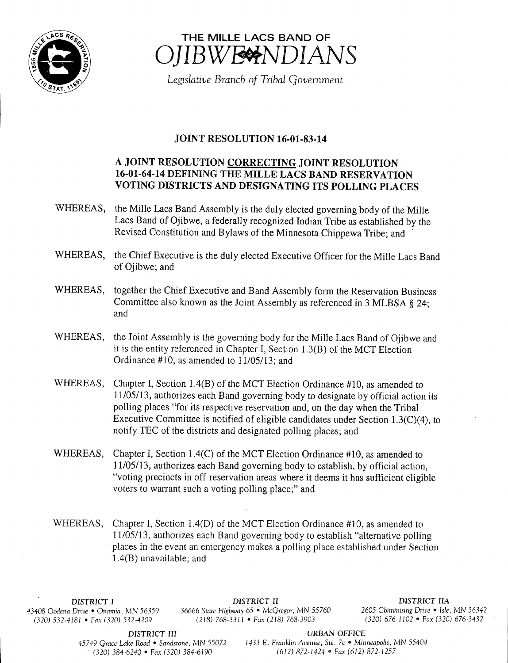



Legislative Branch of Tribal Government

# **JOINT RESOLUTION 16-01-83-14**

## A JOINT RESOLUTION CORRECTING JOINT RESOLUTION 16-01-64-14 DEFINING THE MILLE LACS BAND RESERVATION VOTING DISTRICTS AND DESIGNATING ITS POLLING PLACES

- WHEREAS, the Mille Lacs Band Assembly is the duly elected governing body of the Mille Lacs Band of Ojibwe, a federally recognized Indian Tribe as established by the Revised Constitution and Bylaws of the Minnesota Chippewa Tribe; and
- WHEREAS, the Chief Executive is the duly elected Executive Officer for the Mille Lacs Band of Ojibwe; and
- WHEREAS, together the Chief Executive and Band Assembly form the Reservation Business Committee also known as the Joint Assembly as referenced in <sup>3</sup> MLBSA § 24; and
- WHEREAS, the Joint Assembly is the governing body for the Mille Lacs Band of Ojibwe and it is the entity referenced in Chapter I, Section  $1.3(B)$  of the MCT Election Ordinance  $#10$ , as amended to  $11/05/13$ ; and
- WHEREAS, Chapter I, Section 1.4(B) of the MCT Election Ordinance  $#10$ , as amended to 11/05/13, authorizes each Band governing body to designate by official action its polling places "for its respective reservation and, on the day when the Tribal Executive Committee is notified of eligible candidates under Section  $1.3(C)(4)$ , to notify TEC of the districts and designated polling places; and
- WHEREAS, Chapter I, Section 1.4(C) of the MCT Election Ordinance #10, as amended to 11/05/13, authorizes each Band governing body to establish, by official action, voting precincts in off-reservation areas where it deems it has sufficient eligible voters to warrant such a voting polling place;" and
- WHEREAS, Chapter I, Section 1.4(D) of the MCT Election Ordinance #10, as amended to 11/05/13, authorizes each Band governing body to establish "alternative polling" places in the event an emergency makes a polling place established under Section  $1.4(B)$  unavailable; and

 $(320)$  532-4181 • Fax (320) 532-4209

DISTRICT <sup>I</sup> DISTRICT II DISTRICT IIA 43408 Oodena Drive • Onamia, MN 56359 36666 State Highway 65 • McGregor, MN 55760 2605 Chiminising Drive • Isle, MN 56342<br>(320) 676-1102 • Fax (320) 676-3432 (320) 676-3432 (218) 768-3311 • Fax (218) 768-3903

DISTRICT III URBAN OFFICE

45749 Grace Lake Road · Sandstone, MN 55072 1433 E. Franklin Avenue, Ste. 7c · Minneapolis, MN 55404  $(320)$  384-6240 • Fax (320) 384-6190 (612) 872-1424 • Fax (612) 872-1257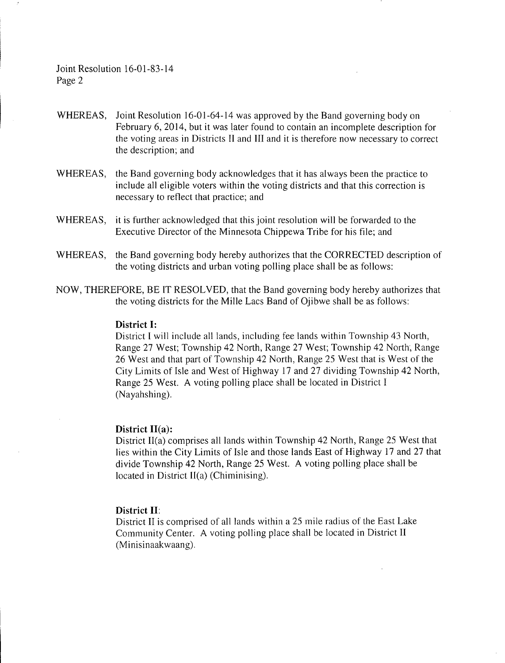Joint Resolution 16-01-83-14 Page 2

- WHEREAS, Joint Resolution 16-01-64-14 was approved by the Band governing body on February 6, 2014, but it was later found to contain an incomplete description for the voting areas in Districts II and III and it is therefore now necessary to correct the description; and
- WHEREAS, the Band governing body acknowledges that it has always been the practice to include all eligible voters within the voting districts and that this correction is necessary to reflect that practice; and
- WHEREAS, it is further acknowledged that this joint resolution will be forwarded to the Executive Director of the Minnesota Chippewa Tribe for his file; and
- WHEREAS, the Band governing body hereby authorizes that the CORRECTED description of the voting districts and urban voting polling place shall be as follows:
- NOW, THEREFORE, BE IT RESOLVED, that the Band governing body hereby authorizes that the voting districts for the Mille Lacs Band of Ojibwe shall be as follows:

#### District I:

District I will include all lands, including fee lands within Township 43 North, Range 27 West; Township 42 North, Range 27 West; Township 42 North; Range 26 West and that part of Township 42 North, Range 25 West that is West of the City Limits of Isle and West of Highway <sup>17</sup> and 27 dividing Township 42 North, Range 25 West. A voting polling place shall be located in District I Nayahshing).

#### District II(a):

District II(a) comprises all lands within Township 42 North, Range 25 West that lies within the City Limits of Isle and those lands East of Highway 17 and 27 that divide Township 42 North, Range 25 West. A voting polling place shall be located in District  $II(a)$  (Chiminising).

### District II:

District II is comprised of all lands within <sup>a</sup> 25 mile radius of the East Lake Community Center. A voting polling place shall be located in District II Minisinaakwaang).